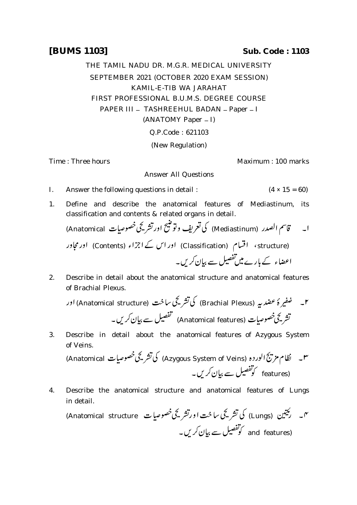## **[BUMS 1103] Sub. Code : 1103**

THE TAMIL NADU DR. M.G.R. MEDICAL UNIVERSITY SEPTEMBER 2021 (OCTOBER 2020 EXAM SESSION) KAMIL-E-TIB WA JARAHAT FIRST PROFESSIONAL B.U.M.S. DEGREE COURSE PAPER III - TASHREEHUL BADAN - Paper - I (ANATOMY Paper – I) Q.P.Code : 621103

(New Regulation)

Time : Three hours **Maximum** : 100 marks

## Answer All Questions

- I. Answer the following questions in detail :  $(4 \times 15 = 60)$
- 1. Define and describe the anatomical features of Mediastinum, its classification and contents & related organs in detail.

ابه مسمّة تاسم الصدر (Mediastinum) كي تعريف وتوضيح اورتشر يجَ خصوصات Anatomical) (structure، اقسام (Classification) اور اس کے اجزاء (Contents) اور مجاور اعضاء کے مارے میںتفصیل سے بیان کریں۔

2. Describe in detail about the anatomical structure and anatomical features of Brachial Plexus.

د المستخدمية (Brachial Plexus) كي تشريحي ساخت (Anatomical structure) اور ۲۔ ضفیر ۂ عضد بیہ تشریحی خصوصات (Anatomical features) تفصیل سے بیان کریں۔

3. Describe in detail about the anatomical features of Azygous System of Veins.

۳۔ نظام مزیج الوردہ (Azygous System of Veins) کی تشریحی خصوصیات Anatomical) features)

4. Describe the anatomical structure and anatomical features of Lungs in detail.

(Anatomical structure (Lungs) and features)